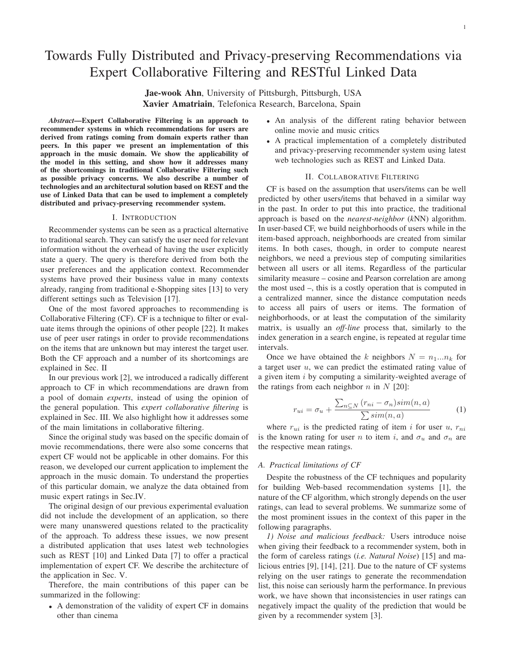# Towards Fully Distributed and Privacy-preserving Recommendations via Expert Collaborative Filtering and RESTful Linked Data

# Jae-wook Ahn, University of Pittsburgh, Pittsburgh, USA Xavier Amatriain, Telefonica Research, Barcelona, Spain

*Abstract*—Expert Collaborative Filtering is an approach to recommender systems in which recommendations for users are derived from ratings coming from domain experts rather than peers. In this paper we present an implementation of this approach in the music domain. We show the applicability of the model in this setting, and show how it addresses many of the shortcomings in traditional Collaborative Filtering such as possible privacy concerns. We also describe a number of technologies and an architectural solution based on REST and the use of Linked Data that can be used to implement a completely distributed and privacy-preserving recommender system.

#### I. INTRODUCTION

Recommender systems can be seen as a practical alternative to traditional search. They can satisfy the user need for relevant information without the overhead of having the user explicitly state a query. The query is therefore derived from both the user preferences and the application context. Recommender systems have proved their business value in many contexts already, ranging from traditional e-Shopping sites [13] to very different settings such as Television [17].

One of the most favored approaches to recommending is Collaborative Filtering (CF). CF is a technique to filter or evaluate items through the opinions of other people [22]. It makes use of peer user ratings in order to provide recommendations on the items that are unknown but may interest the target user. Both the CF approach and a number of its shortcomings are explained in Sec. II

In our previous work [2], we introduced a radically different approach to CF in which recommendations are drawn from a pool of domain *experts*, instead of using the opinion of the general population. This *expert collaborative filtering* is explained in Sec. III. We also highlight how it addresses some of the main limitations in collaborative filtering.

Since the original study was based on the specific domain of movie recommendations, there were also some concerns that expert CF would not be applicable in other domains. For this reason, we developed our current application to implement the approach in the music domain. To understand the properties of this particular domain, we analyze the data obtained from music expert ratings in Sec.IV.

The original design of our previous experimental evaluation did not include the development of an application, so there were many unanswered questions related to the practicality of the approach. To address these issues, we now present a distributed application that uses latest web technologies such as REST [10] and Linked Data [7] to offer a practical implementation of expert CF. We describe the architecture of the application in Sec. V.

Therefore, the main contributions of this paper can be summarized in the following:

• A demonstration of the validity of expert CF in domains other than cinema

- An analysis of the different rating behavior between online movie and music critics
- A practical implementation of a completely distributed and privacy-preserving recommender system using latest web technologies such as REST and Linked Data.

### II. COLLABORATIVE FILTERING

CF is based on the assumption that users/items can be well predicted by other users/items that behaved in a similar way in the past. In order to put this into practice, the traditional approach is based on the *nearest-neighbor* (*k*NN) algorithm. In user-based CF, we build neighborhoods of users while in the item-based approach, neighborhoods are created from similar items. In both cases, though, in order to compute nearest neighbors, we need a previous step of computing similarities between all users or all items. Regardless of the particular similarity measure – cosine and Pearson correlation are among the most used –, this is a costly operation that is computed in a centralized manner, since the distance computation needs to access all pairs of users or items. The formation of neighborhoods, or at least the computation of the similarity matrix, is usually an *off-line* process that, similarly to the index generation in a search engine, is repeated at regular time intervals.

Once we have obtained the k neighbors  $N = n_1...n_k$  for a target user u, we can predict the estimated rating value of a given item  $i$  by computing a similarity-weighted average of the ratings from each neighbor  $n$  in  $N$  [20]:

$$
r_{ui} = \sigma_u + \frac{\sum_{n \subseteq N} (r_{ni} - \sigma_n)sim(n, a)}{\sum sim(n, a)}
$$
(1)

where  $r_{ui}$  is the predicted rating of item i for user u,  $r_{ni}$ is the known rating for user n to item i, and  $\sigma_u$  and  $\sigma_n$  are the respective mean ratings.

#### *A. Practical limitations of CF*

Despite the robustness of the CF techniques and popularity for building Web-based recommendation systems [1], the nature of the CF algorithm, which strongly depends on the user ratings, can lead to several problems. We summarize some of the most prominent issues in the context of this paper in the following paragraphs.

*1) Noise and malicious feedback:* Users introduce noise when giving their feedback to a recommender system, both in the form of careless ratings (*i.e. Natural Noise*) [15] and malicious entries [9], [14], [21]. Due to the nature of CF systems relying on the user ratings to generate the recommendation list, this noise can seriously harm the performance. In previous work, we have shown that inconsistencies in user ratings can negatively impact the quality of the prediction that would be given by a recommender system [3].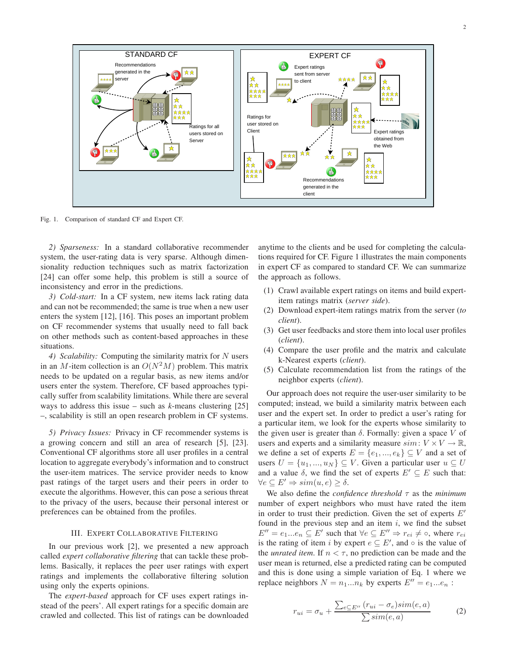

Fig. 1. Comparison of standard CF and Expert CF.

*2) Sparseness:* In a standard collaborative recommender system, the user-rating data is very sparse. Although dimensionality reduction techniques such as matrix factorization [24] can offer some help, this problem is still a source of inconsistency and error in the predictions.

*3) Cold-start:* In a CF system, new items lack rating data and can not be recommended; the same is true when a new user enters the system [12], [16]. This poses an important problem on CF recommender systems that usually need to fall back on other methods such as content-based approaches in these situations.

*4) Scalability:* Computing the similarity matrix for N users in an M-item collection is an  $O(N^2M)$  problem. This matrix needs to be updated on a regular basis, as new items and/or users enter the system. Therefore, CF based approaches typically suffer from scalability limitations. While there are several ways to address this issue – such as *k*-means clustering [25] –, scalability is still an open research problem in CF systems.

*5) Privacy Issues:* Privacy in CF recommender systems is a growing concern and still an area of research [5], [23]. Conventional CF algorithms store all user profiles in a central location to aggregate everybody's information and to construct the user-item matrices. The service provider needs to know past ratings of the target users and their peers in order to execute the algorithms. However, this can pose a serious threat to the privacy of the users, because their personal interest or preferences can be obtained from the profiles.

## III. EXPERT COLLABORATIVE FILTERING

In our previous work [2], we presented a new approach called *expert collaborative filtering* that can tackle these problems. Basically, it replaces the peer user ratings with expert ratings and implements the collaborative filtering solution using only the experts opinions.

The *expert-based* approach for CF uses expert ratings instead of the peers'. All expert ratings for a specific domain are crawled and collected. This list of ratings can be downloaded anytime to the clients and be used for completing the calculations required for CF. Figure 1 illustrates the main components in expert CF as compared to standard CF. We can summarize the approach as follows.

- (1) Crawl available expert ratings on items and build expertitem ratings matrix (*server side*).
- (2) Download expert-item ratings matrix from the server (*to client*).
- (3) Get user feedbacks and store them into local user profiles (*client*).
- (4) Compare the user profile and the matrix and calculate k-Nearest experts (*client*).
- (5) Calculate recommendation list from the ratings of the neighbor experts (*client*).

Our approach does not require the user-user similarity to be computed; instead, we build a similarity matrix between each user and the expert set. In order to predict a user's rating for a particular item, we look for the experts whose similarity to the given user is greater than  $\delta$ . Formally: given a space V of users and experts and a similarity measure  $sim: V \times V \rightarrow \mathbb{R}$ , we define a set of experts  $E = \{e_1, ..., e_k\} \subseteq V$  and a set of users  $U = \{u_1, ..., u_N\} \subseteq V$ . Given a particular user  $u \subseteq U$ and a value  $\delta$ , we find the set of experts  $E' \subseteq E$  such that:  $\forall e \subseteq E' \Rightarrow sim(u, e) \geq \delta.$ 

We also define the *confidence threshold* τ as the *minimum* number of expert neighbors who must have rated the item in order to trust their prediction. Given the set of experts  $E'$ found in the previous step and an item  $i$ , we find the subset  $E'' = e_1...e_n \subseteq E'$  such that  $\forall e \subseteq E'' \Rightarrow r_{ei} \neq \infty$ , where  $r_{ei}$ is the rating of item i by expert  $e \subseteq E'$ , and  $\circ$  is the value of the *unrated item*. If  $n < \tau$ , no prediction can be made and the user mean is returned, else a predicted rating can be computed and this is done using a simple variation of Eq. 1 where we replace neighbors  $N = n_1...n_k$  by experts  $E'' = e_1...e_n$ :

$$
r_{ui} = \sigma_u + \frac{\sum_{e \subseteq E''} (r_{ui} - \sigma_e) \text{sim}(e, a)}{\sum \text{sim}(e, a)} \tag{2}
$$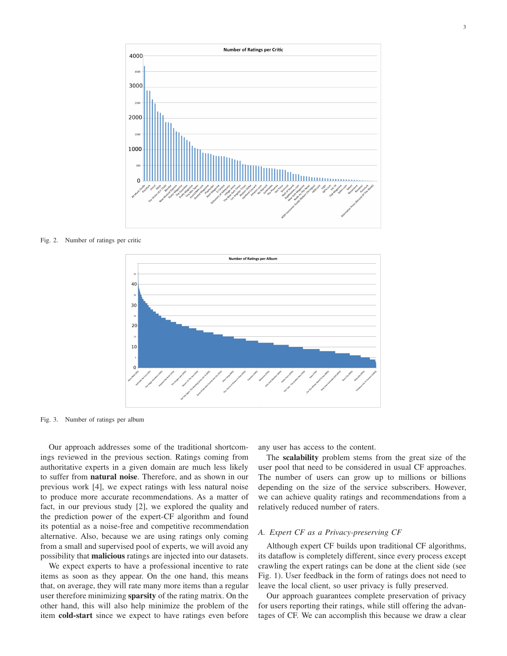

Fig. 2. Number of ratings per critic



Fig. 3. Number of ratings per album

Our approach addresses some of the traditional shortcomings reviewed in the previous section. Ratings coming from authoritative experts in a given domain are much less likely to suffer from natural noise. Therefore, and as shown in our previous work [4], we expect ratings with less natural noise to produce more accurate recommendations. As a matter of fact, in our previous study [2], we explored the quality and the prediction power of the expert-CF algorithm and found its potential as a noise-free and competitive recommendation alternative. Also, because we are using ratings only coming from a small and supervised pool of experts, we will avoid any possibility that malicious ratings are injected into our datasets.

We expect experts to have a professional incentive to rate items as soon as they appear. On the one hand, this means that, on average, they will rate many more items than a regular user therefore minimizing sparsity of the rating matrix. On the other hand, this will also help minimize the problem of the item cold-start since we expect to have ratings even before any user has access to the content.

The scalability problem stems from the great size of the user pool that need to be considered in usual CF approaches. The number of users can grow up to millions or billions depending on the size of the service subscribers. However, we can achieve quality ratings and recommendations from a relatively reduced number of raters.

## *A. Expert CF as a Privacy-preserving CF*

Although expert CF builds upon traditional CF algorithms, its dataflow is completely different, since every process except crawling the expert ratings can be done at the client side (see Fig. 1). User feedback in the form of ratings does not need to leave the local client, so user privacy is fully preserved.

Our approach guarantees complete preservation of privacy for users reporting their ratings, while still offering the advantages of CF. We can accomplish this because we draw a clear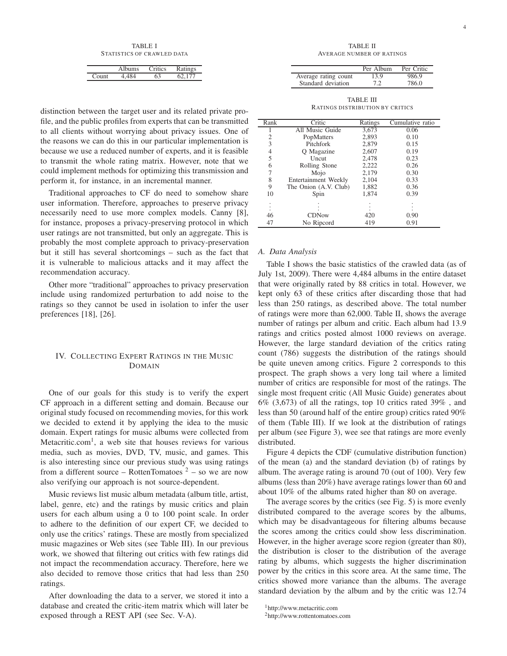TABLE I STATISTICS OF CRAWLED DATA

|     | ıms | `CS |  |
|-----|-----|-----|--|
| ınt |     | JJ  |  |

distinction between the target user and its related private profile, and the public profiles from experts that can be transmitted to all clients without worrying about privacy issues. One of the reasons we can do this in our particular implementation is because we use a reduced number of experts, and it is feasible to transmit the whole rating matrix. However, note that we could implement methods for optimizing this transmission and perform it, for instance, in an incremental manner.

Traditional approaches to CF do need to somehow share user information. Therefore, approaches to preserve privacy necessarily need to use more complex models. Canny [8], for instance, proposes a privacy-preserving protocol in which user ratings are not transmitted, but only an aggregate. This is probably the most complete approach to privacy-preservation but it still has several shortcomings – such as the fact that it is vulnerable to malicious attacks and it may affect the recommendation accuracy.

Other more "traditional" approaches to privacy preservation include using randomized perturbation to add noise to the ratings so they cannot be used in isolation to infer the user preferences [18], [26].

## IV. COLLECTING EXPERT RATINGS IN THE MUSIC DOMAIN

One of our goals for this study is to verify the expert CF approach in a different setting and domain. Because our original study focused on recommending movies, for this work we decided to extend it by applying the idea to the music domain. Expert ratings for music albums were collected from Metacritic.com<sup>1</sup>, a web site that houses reviews for various media, such as movies, DVD, TV, music, and games. This is also interesting since our previous study was using ratings from a different source – RottenTomatoes  $2 -$  so we are now also verifying our approach is not source-dependent.

Music reviews list music album metadata (album title, artist, label, genre, etc) and the ratings by music critics and plain users for each album using a 0 to 100 point scale. In order to adhere to the definition of our expert CF, we decided to only use the critics' ratings. These are mostly from specialized music magazines or Web sites (see Table III). In our previous work, we showed that filtering out critics with few ratings did not impact the recommendation accuracy. Therefore, here we also decided to remove those critics that had less than 250 ratings.

After downloading the data to a server, we stored it into a database and created the critic-item matrix which will later be exposed through a REST API (see Sec. V-A).

TABLE II AVERAGE NUMBER OF RATINGS

|                      | Per Album | Per Critic |
|----------------------|-----------|------------|
| Average rating count | 13.9      | 986.9      |
| Standard deviation   | 72        | 786.0      |
|                      |           |            |

TABLE III RATINGS DISTRIBUTION BY CRITICS

| Rank | Critic                | Ratings | Cumulative ratio |
|------|-----------------------|---------|------------------|
|      | All Music Guide       | 3.673   | 0.06             |
| 2    | PopMatters            | 2,893   | 0.10             |
| 3    | Pitchfork             | 2,879   | 0.15             |
| 4    | Q Magazine            | 2,607   | 0.19             |
| 5    | Uncut                 | 2,478   | 0.23             |
| 6    | Rolling Stone         | 2.222   | 0.26             |
| 7    | Mojo                  | 2,179   | 0.30             |
| 8    | Entertainment Weekly  | 2.104   | 0.33             |
| 9    | The Onion (A.V. Club) | 1,882   | 0.36             |
| 10   | Spin                  | 1.874   | 0.39             |
| ٠    |                       |         |                  |
|      |                       |         |                  |
| 46   | <b>CDNow</b>          | 420     | 0.90             |
| 47   | No Ripcord            | 419     | 0.91             |

#### *A. Data Analysis*

Table I shows the basic statistics of the crawled data (as of July 1st, 2009). There were 4,484 albums in the entire dataset that were originally rated by 88 critics in total. However, we kept only 63 of these critics after discarding those that had less than 250 ratings, as described above. The total number of ratings were more than 62,000. Table II, shows the average number of ratings per album and critic. Each album had 13.9 ratings and critics posted almost 1000 reviews on average. However, the large standard deviation of the critics rating count (786) suggests the distribution of the ratings should be quite uneven among critics. Figure 2 corresponds to this prospect. The graph shows a very long tail where a limited number of critics are responsible for most of the ratings. The single most frequent critic (All Music Guide) generates about 6% (3,673) of all the ratings, top 10 critics rated 39% , and less than 50 (around half of the entire group) critics rated 90% of them (Table III). If we look at the distribution of ratings per album (see Figure 3), wee see that ratings are more evenly distributed.

Figure 4 depicts the CDF (cumulative distribution function) of the mean (a) and the standard deviation (b) of ratings by album. The average rating is around 70 (out of 100). Very few albums (less than 20%) have average ratings lower than 60 and about 10% of the albums rated higher than 80 on average.

The average scores by the critics (see Fig. 5) is more evenly distributed compared to the average scores by the albums, which may be disadvantageous for filtering albums because the scores among the critics could show less discrimination. However, in the higher average score region (greater than 80), the distribution is closer to the distribution of the average rating by albums, which suggests the higher discrimination power by the critics in this score area. At the same time, The critics showed more variance than the albums. The average standard deviation by the album and by the critic was 12.74

<sup>1</sup>http://www.metacritic.com

<sup>2</sup>http://www.rottentomatoes.com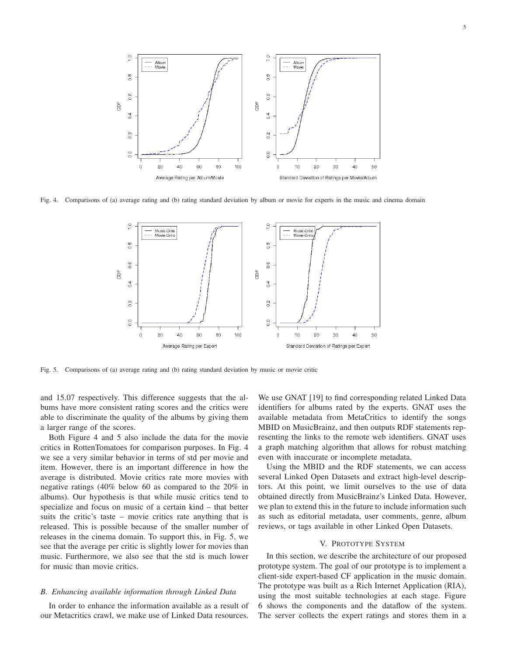

Fig. 4. Comparisons of (a) average rating and (b) rating standard deviation by album or movie for experts in the music and cinema domain



Fig. 5. Comparisons of (a) average rating and (b) rating standard deviation by music or movie critic

and 15.07 respectively. This difference suggests that the albums have more consistent rating scores and the critics were able to discriminate the quality of the albums by giving them a larger range of the scores.

Both Figure 4 and 5 also include the data for the movie critics in RottenTomatoes for comparison purposes. In Fig. 4 we see a very similar behavior in terms of std per movie and item. However, there is an important difference in how the average is distributed. Movie critics rate more movies with negative ratings (40% below 60 as compared to the 20% in albums). Our hypothesis is that while music critics tend to specialize and focus on music of a certain kind – that better suits the critic's taste – movie critics rate anything that is released. This is possible because of the smaller number of releases in the cinema domain. To support this, in Fig. 5, we see that the average per critic is slightly lower for movies than music. Furthermore, we also see that the std is much lower for music than movie critics.

# *B. Enhancing available information through Linked Data*

In order to enhance the information available as a result of our Metacritics crawl, we make use of Linked Data resources.

We use GNAT [19] to find corresponding related Linked Data identifiers for albums rated by the experts. GNAT uses the available metadata from MetaCritics to identify the songs MBID on MusicBrainz, and then outputs RDF statements representing the links to the remote web identifiers. GNAT uses a graph matching algorithm that allows for robust matching even with inaccurate or incomplete metadata.

Using the MBID and the RDF statements, we can access several Linked Open Datasets and extract high-level descriptors. At this point, we limit ourselves to the use of data obtained directly from MusicBrainz's Linked Data. However, we plan to extend this in the future to include information such as such as editorial metadata, user comments, genre, album reviews, or tags available in other Linked Open Datasets.

## V. PROTOTYPE SYSTEM

In this section, we describe the architecture of our proposed prototype system. The goal of our prototype is to implement a client-side expert-based CF application in the music domain. The prototype was built as a Rich Internet Application (RIA), using the most suitable technologies at each stage. Figure 6 shows the components and the dataflow of the system. The server collects the expert ratings and stores them in a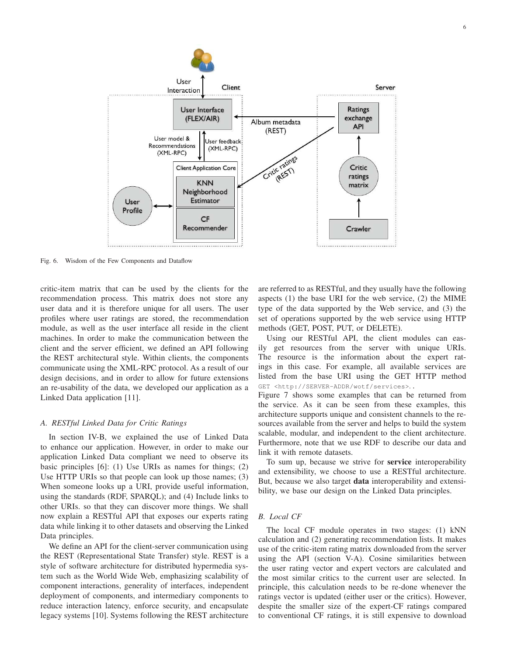

Fig. 6. Wisdom of the Few Components and Dataflow

critic-item matrix that can be used by the clients for the recommendation process. This matrix does not store any user data and it is therefore unique for all users. The user profiles where user ratings are stored, the recommendation module, as well as the user interface all reside in the client machines. In order to make the communication between the client and the server efficient, we defined an API following the REST architectural style. Within clients, the components communicate using the XML-RPC protocol. As a result of our design decisions, and in order to allow for future extensions an re-usability of the data, we developed our application as a Linked Data application [11].

#### *A. RESTful Linked Data for Critic Ratings*

In section IV-B, we explained the use of Linked Data to enhance our application. However, in order to make our application Linked Data compliant we need to observe its basic principles [6]: (1) Use URIs as names for things; (2) Use HTTP URIs so that people can look up those names; (3) When someone looks up a URI, provide useful information, using the standards (RDF, SPARQL); and (4) Include links to other URIs. so that they can discover more things. We shall now explain a RESTful API that exposes our experts rating data while linking it to other datasets and observing the Linked Data principles.

We define an API for the client-server communication using the REST (Representational State Transfer) style. REST is a style of software architecture for distributed hypermedia system such as the World Wide Web, emphasizing scalability of component interactions, generality of interfaces, independent deployment of components, and intermediary components to reduce interaction latency, enforce security, and encapsulate legacy systems [10]. Systems following the REST architecture are referred to as RESTful, and they usually have the following aspects (1) the base URI for the web service, (2) the MIME type of the data supported by the Web service, and (3) the set of operations supported by the web service using HTTP methods (GET, POST, PUT, or DELETE).

Using our RESTful API, the client modules can easily get resources from the server with unique URIs. The resource is the information about the expert ratings in this case. For example, all available services are listed from the base URI using the GET HTTP method GET <http://SERVER-ADDR/wotf/services>. .

Figure 7 shows some examples that can be returned from the service. As it can be seen from these examples, this architecture supports unique and consistent channels to the resources available from the server and helps to build the system scalable, modular, and independent to the client architecture. Furthermore, note that we use RDF to describe our data and link it with remote datasets.

To sum up, because we strive for service interoperability and extensibility, we choose to use a RESTful architecture. But, because we also target **data** interoperability and extensibility, we base our design on the Linked Data principles.

#### *B. Local CF*

The local CF module operates in two stages: (1) kNN calculation and (2) generating recommendation lists. It makes use of the critic-item rating matrix downloaded from the server using the API (section V-A). Cosine similarities between the user rating vector and expert vectors are calculated and the most similar critics to the current user are selected. In principle, this calculation needs to be re-done whenever the ratings vector is updated (either user or the critics). However, despite the smaller size of the expert-CF ratings compared to conventional CF ratings, it is still expensive to download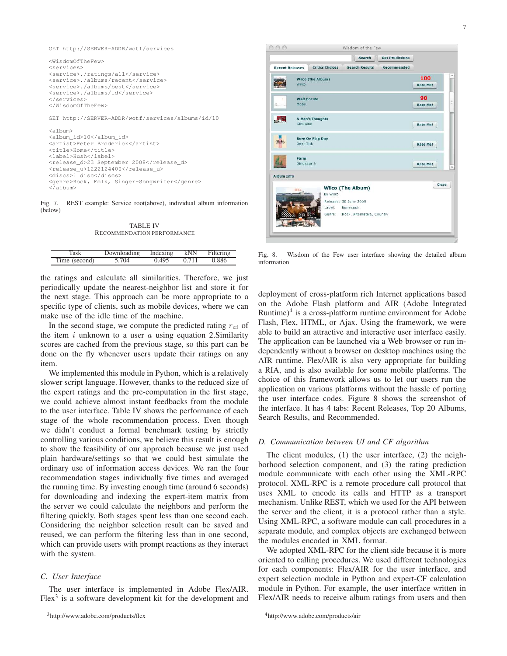```
GET http://SERVER-ADDR/wotf/services
```

```
<WisdomOfTheFew>
<services>
<service>./ratings/all</service>
<service>./albums/recent</service>
<service>./albums/best</service>
<service>./albums/id</service>
</services>
</WisdomOfTheFew>
GET http://SERVER-ADDR/wotf/services/albums/id/10
<album>
<album_id>10</album_id>
<artist>Peter Broderick</artist>
<title>Home</title>
<label>Hush</label>
<release_d>23 September 2008</release_d>
<release_u>1222124400</release_u>
<discs>1 disc</discs>
<genre>Rock, Folk, Singer-Songwriter</genre>
\langlealbum>
```
Fig. 7. REST example: Service root(above), individual album information (below)

TABLE IV RECOMMENDATION PERFORMANCE

|                            | Downloading | ndexing | kNN |       |
|----------------------------|-------------|---------|-----|-------|
| second)<br><sub>1</sub> me | 04.         |         |     | J.880 |

the ratings and calculate all similarities. Therefore, we just periodically update the nearest-neighbor list and store it for the next stage. This approach can be more appropriate to a specific type of clients, such as mobile devices, where we can make use of the idle time of the machine.

In the second stage, we compute the predicted rating  $r_{ai}$  of the item  $i$  unknown to a user  $a$  using equation 2. Similarity scores are cached from the previous stage, so this part can be done on the fly whenever users update their ratings on any item.

We implemented this module in Python, which is a relatively slower script language. However, thanks to the reduced size of the expert ratings and the pre-computation in the first stage, we could achieve almost instant feedbacks from the module to the user interface. Table IV shows the performance of each stage of the whole recommendation process. Even though we didn't conduct a formal benchmark testing by strictly controlling various conditions, we believe this result is enough to show the feasibility of our approach because we just used plain hardware/settings so that we could best simulate the ordinary use of information access devices. We ran the four recommendation stages individually five times and averaged the running time. By investing enough time (around 6 seconds) for downloading and indexing the expert-item matrix from the server we could calculate the neighbors and perform the filtering quickly. Both stages spent less than one second each. Considering the neighbor selection result can be saved and reused, we can perform the filtering less than in one second, which can provide users with prompt reactions as they interact with the system.

#### *C. User Interface*

The user interface is implemented in Adobe Flex/AIR. Flex<sup>3</sup> is a software development kit for the development and



Fig. 8. Wisdom of the Few user interface showing the detailed album information

deployment of cross-platform rich Internet applications based on the Adobe Flash platform and AIR (Adobe Integrated Runtime) $<sup>4</sup>$  is a cross-platform runtime environment for Adobe</sup> Flash, Flex, HTML, or Ajax. Using the framework, we were able to build an attractive and interactive user interface easily. The application can be launched via a Web browser or run independently without a browser on desktop machines using the AIR runtime. Flex/AIR is also very appropriate for building a RIA, and is also available for some mobile platforms. The choice of this framework allows us to let our users run the application on various platforms without the hassle of porting the user interface codes. Figure 8 shows the screenshot of the interface. It has 4 tabs: Recent Releases, Top 20 Albums, Search Results, and Recommended.

## *D. Communication between UI and CF algorithm*

The client modules, (1) the user interface, (2) the neighborhood selection component, and (3) the rating prediction module communicate with each other using the XML-RPC protocol. XML-RPC is a remote procedure call protocol that uses XML to encode its calls and HTTP as a transport mechanism. Unlike REST, which we used for the API between the server and the client, it is a protocol rather than a style. Using XML-RPC, a software module can call procedures in a separate module, and complex objects are exchanged between the modules encoded in XML format.

We adopted XML-RPC for the client side because it is more oriented to calling procedures. We used different technologies for each components: Flex/AIR for the user interface, and expert selection module in Python and expert-CF calculation module in Python. For example, the user interface written in Flex/AIR needs to receive album ratings from users and then

<sup>4</sup>http://www.adobe.com/products/air